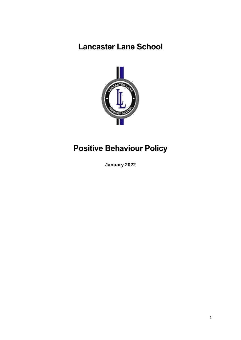## **Lancaster Lane School**



# **Positive Behaviour Policy**

**January 2022**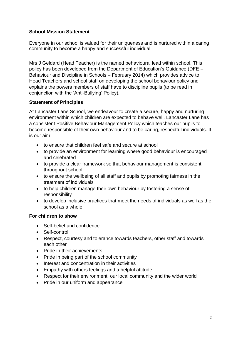## **School Mission Statement**

Everyone in our school is valued for their uniqueness and is nurtured within a caring community to become a happy and successful individual.

Mrs J Geldard (Head Teacher) is the named behavioural lead within school. This policy has been developed from the Department of Education's Guidance (DFE – Behaviour and Discipline in Schools – February 2014) which provides advice to Head Teachers and school staff on developing the school behaviour policy and explains the powers members of staff have to discipline pupils (to be read in conjunction with the 'Anti-Bullying' Policy).

## **Statement of Principles**

At Lancaster Lane School, we endeavour to create a secure, happy and nurturing environment within which children are expected to behave well. Lancaster Lane has a consistent Positive Behaviour Management Policy which teaches our pupils to become responsible of their own behaviour and to be caring, respectful individuals. It is our aim:

- to ensure that children feel safe and secure at school
- to provide an environment for learning where good behaviour is encouraged and celebrated
- to provide a clear framework so that behaviour management is consistent throughout school
- to ensure the wellbeing of all staff and pupils by promoting fairness in the treatment of individuals
- to help children manage their own behaviour by fostering a sense of responsibility
- to develop inclusive practices that meet the needs of individuals as well as the school as a whole

## **For children to show**

- Self-belief and confidence
- Self-control
- Respect, courtesy and tolerance towards teachers, other staff and towards each other
- Pride in their achievements
- Pride in being part of the school community
- Interest and concentration in their activities
- Empathy with others feelings and a helpful attitude
- Respect for their environment, our local community and the wider world
- Pride in our uniform and appearance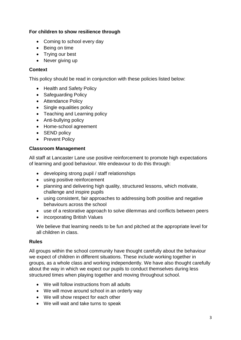## **For children to show resilience through**

- Coming to school every day
- Being on time
- Trying our best
- Never giving up

## **Context**

This policy should be read in conjunction with these policies listed below:

- Health and Safety Policy
- Safeguarding Policy
- Attendance Policy
- Single equalities policy
- Teaching and Learning policy
- Anti-bullying policy
- Home-school agreement
- SEND policy
- Prevent Policy

## **Classroom Management**

All staff at Lancaster Lane use positive reinforcement to promote high expectations of learning and good behaviour. We endeavour to do this through:

- developing strong pupil / staff relationships
- using positive reinforcement
- planning and delivering high quality, structured lessons, which motivate, challenge and inspire pupils
- using consistent, fair approaches to addressing both positive and negative behaviours across the school
- use of a restorative approach to solve dilemmas and conflicts between peers
- incorporating British Values

We believe that learning needs to be fun and pitched at the appropriate level for all children in class.

## **Rules**

All groups within the school community have thought carefully about the behaviour we expect of children in different situations. These include working together in groups, as a whole class and working independently. We have also thought carefully about the way in which we expect our pupils to conduct themselves during less structured times when playing together and moving throughout school.

- We will follow instructions from all adults
- We will move around school in an orderly way
- We will show respect for each other
- We will wait and take turns to speak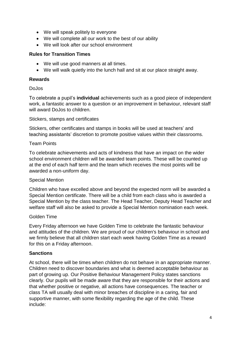- We will speak politely to everyone
- We will complete all our work to the best of our ability
- We will look after our school environment

#### **Rules for Transition Times**

- We will use good manners at all times.
- We will walk quietly into the lunch hall and sit at our place straight away.

#### **Rewards**

#### DoJos

To celebrate a pupil's **individual** achievements such as a good piece of independent work, a fantastic answer to a question or an improvement in behaviour, relevant staff will award DoJos to children.

#### Stickers, stamps and certificates

Stickers, other certificates and stamps in books will be used at teachers' and teaching assistants' discretion to promote positive values within their classrooms.

#### Team Points

To celebrate achievements and acts of kindness that have an impact on the wider school environment children will be awarded team points. These will be counted up at the end of each half term and the team which receives the most points will be awarded a non-uniform day.

#### Special Mention

Children who have excelled above and beyond the expected norm will be awarded a Special Mention certificate. There will be a child from each class who is awarded a Special Mention by the class teacher. The Head Teacher, Deputy Head Teacher and welfare staff will also be asked to provide a Special Mention nomination each week.

#### Golden Time

Every Friday afternoon we have Golden Time to celebrate the fantastic behaviour and attitudes of the children. We are proud of our children's behaviour in school and we firmly believe that all children start each week having Golden Time as a reward for this on a Friday afternoon.

#### **Sanctions**

At school, there will be times when children do not behave in an appropriate manner. Children need to discover boundaries and what is deemed acceptable behaviour as part of growing up. Our Positive Behaviour Management Policy states sanctions clearly. Our pupils will be made aware that they are responsible for their actions and that whether positive or negative, all actions have consequences. The teacher or class TA will usually deal with minor breaches of discipline in a caring, fair and supportive manner, with some flexibility regarding the age of the child. These include: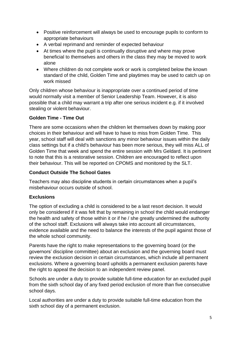- Positive reinforcement will always be used to encourage pupils to conform to appropriate behaviours
- A verbal reprimand and reminder of expected behaviour
- At times where the pupil is continually disruptive and where may prove beneficial to themselves and others in the class they may be moved to work alone
- Where children do not complete work or work is completed below the known standard of the child, Golden Time and playtimes may be used to catch up on work missed

Only children whose behaviour is inappropriate over a continued period of time would normally visit a member of Senior Leadership Team. However, it is also possible that a child may warrant a trip after one serious incident e.g. if it involved stealing or violent behaviour.

## **Golden Time - Time Out**

There are some occasions when the children let themselves down by making poor choices in their behaviour and will have to have to miss from Golden Time. This year, school staff will deal with sanctions any minor behaviour issues within the daily class settings but if a child's behaviour has been more serious, they will miss ALL of Golden Time that week and spend the entire session with Mrs Geldard. It is pertinent to note that this is a restorative session. Children are encouraged to reflect upon their behaviour. This will be reported on CPOMS and monitored by the SLT.

## **Conduct Outside The School Gates**

Teachers may also discipline students in certain circumstances when a pupil's misbehaviour occurs outside of school.

## **Exclusions**

The option of excluding a child is considered to be a last resort decision. It would only be considered if it was felt that by remaining in school the child would endanger the health and safety of those within it or if he / she greatly undermined the authority of the school staff. Exclusions will always take into account all circumstances, evidence available and the need to balance the interests of the pupil against those of the whole school community.

Parents have the right to make representations to the governing board (or the governors' discipline committee) about an exclusion and the governing board must review the exclusion decision in certain circumstances, which include all permanent exclusions. Where a governing board upholds a permanent exclusion parents have the right to appeal the decision to an independent review panel.

Schools are under a duty to provide suitable full-time education for an excluded pupil from the sixth school day of any fixed period exclusion of more than five consecutive school days.

Local authorities are under a duty to provide suitable full-time education from the sixth school day of a permanent exclusion.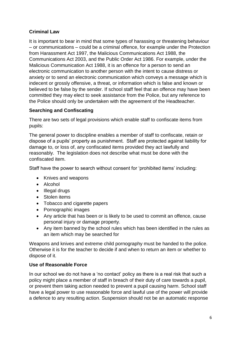## **Criminal Law**

It is important to bear in mind that some types of harassing or threatening behaviour – or communications – could be a criminal offence, for example under the Protection from Harassment Act 1997, the Malicious Communications Act 1988, the Communications Act 2003, and the Public Order Act 1986. For example, under the Malicious Communication Act 1988, it is an offence for a person to send an electronic communication to another person with the intent to cause distress or anxiety or to send an electronic communication which conveys a message which is indecent or grossly offensive, a threat, or information which is false and known or believed to be false by the sender. If school staff feel that an offence may have been committed they may elect to seek assistance from the Police, but any reference to the Police should only be undertaken with the agreement of the Headteacher.

## **Searching and Confiscating**

There are two sets of legal provisions which enable staff to confiscate items from pupils:

The general power to discipline enables a member of staff to confiscate, retain or dispose of a pupils' property as punishment. Staff are protected against liability for damage to, or loss of, any confiscated items provided they act lawfully and reasonably. The legislation does not describe what must be done with the confiscated item.

Staff have the power to search without consent for 'prohibited items' including:

- Knives and weapons
- Alcohol
- Illegal drugs
- Stolen items
- Tobacco and cigarette papers
- Pornographic images
- Any article that has been or is likely to be used to commit an offence, cause personal injury or damage property.
- Any item banned by the school rules which has been identified in the rules as an item which may be searched for

Weapons and knives and extreme child pornography must be handed to the police. Otherwise it is for the teacher to decide if and when to return an item or whether to dispose of it.

## **Use of Reasonable Force**

In our school we do not have a 'no contact' policy as there is a real risk that such a policy might place a member of staff in breach of their duty of care towards a pupil, or prevent them taking action needed to prevent a pupil causing harm. School staff have a legal power to use reasonable force and lawful use of the power will provide a defence to any resulting action. Suspension should not be an automatic response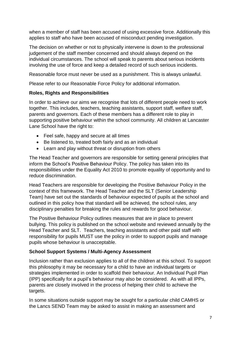when a member of staff has been accused of using excessive force. Additionally this applies to staff who have been accused of misconduct pending investigation.

The decision on whether or not to physically intervene is down to the professional judgement of the staff member concerned and should always depend on the individual circumstances. The school will speak to parents about serious incidents involving the use of force and keep a detailed record of such serious incidents.

Reasonable force must never be used as a punishment. This is always unlawful.

Please refer to our Reasonable Force Policy for additional information.

## **Roles, Rights and Responsibilities**

In order to achieve our aims we recognise that lots of different people need to work together. This includes, teachers, teaching assistants, support staff, welfare staff, parents and governors. Each of these members has a different role to play in supporting positive behaviour within the school community. All children at Lancaster Lane School have the right to:

- Feel safe, happy and secure at all times
- Be listened to, treated both fairly and as an individual
- Learn and play without threat or disruption from others

The Head Teacher and governors are responsible for setting general principles that inform the School's Positive Behaviour Policy. The policy has taken into its responsibilities under the Equality Act 2010 to promote equality of opportunity and to reduce discrimination.

Head Teachers are responsible for developing the Positive Behaviour Policy in the context of this framework. The Head Teacher and the SLT (Senior Leadership Team) have set out the standards of behaviour expected of pupils at the school and outlined in this policy how that standard will be achieved, the school rules, any disciplinary penalties for breaking the rules and rewards for good behaviour.

The Positive Behaviour Policy outlines measures that are in place to prevent bullying. This policy is published on the school website and reviewed annually by the Head Teacher and SLT. Teachers, teaching assistants and other paid staff with responsibility for pupils MUST use the policy in order to support pupils and manage pupils whose behaviour is unacceptable.

## **School Support Systems / Multi-Agency Assessment**

Inclusion rather than exclusion applies to all of the children at this school. To support this philosophy it may be necessary for a child to have an individual targets or strategies implemented in order to scaffold their behaviour. An Individual Pupil Plan (IPP) specifically for a pupil's behaviour may also be considered. As with all IPPs, parents are closely involved in the process of helping their child to achieve the targets.

In some situations outside support may be sought for a particular child CAMHS or the Lancs SEND Team may be asked to assist in making an assessment and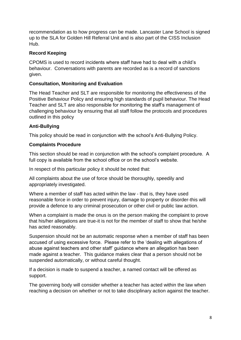recommendation as to how progress can be made. Lancaster Lane School is signed up to the SLA for Golden Hill Referral Unit and is also part of the CISS Inclusion Hub.

## **Record Keeping**

CPOMS is used to record incidents where staff have had to deal with a child's behaviour. Conversations with parents are recorded as is a record of sanctions given.

## **Consultation, Monitoring and Evaluation**

The Head Teacher and SLT are responsible for monitoring the effectiveness of the Positive Behaviour Policy and ensuring high standards of pupil behaviour. The Head Teacher and SLT are also responsible for monitoring the staff's management of challenging behaviour by ensuring that all staff follow the protocols and procedures outlined in this policy

## **Anti-Bullying**

This policy should be read in conjunction with the school's Anti-Bullying Policy.

## **Complaints Procedure**

This section should be read in conjunction with the school's complaint procedure. A full copy is available from the school office or on the school's website.

In respect of this particular policy it should be noted that:

All complaints about the use of force should be thoroughly, speedily and appropriately investigated.

Where a member of staff has acted within the law - that is, they have used reasonable force in order to prevent injury, damage to property or disorder-this will provide a defence to any criminal prosecution or other civil or public law action.

When a complaint is made the onus is on the person making the complaint to prove that his/her allegations are true-it is not for the member of staff to show that he/she has acted reasonably.

Suspension should not be an automatic response when a member of staff has been accused of using excessive force. Please refer to the 'dealing with allegations of abuse against teachers and other staff' guidance where an allegation has been made against a teacher. This guidance makes clear that a person should not be suspended automatically, or without careful thought.

If a decision is made to suspend a teacher, a named contact will be offered as support.

The governing body will consider whether a teacher has acted within the law when reaching a decision on whether or not to take disciplinary action against the teacher.